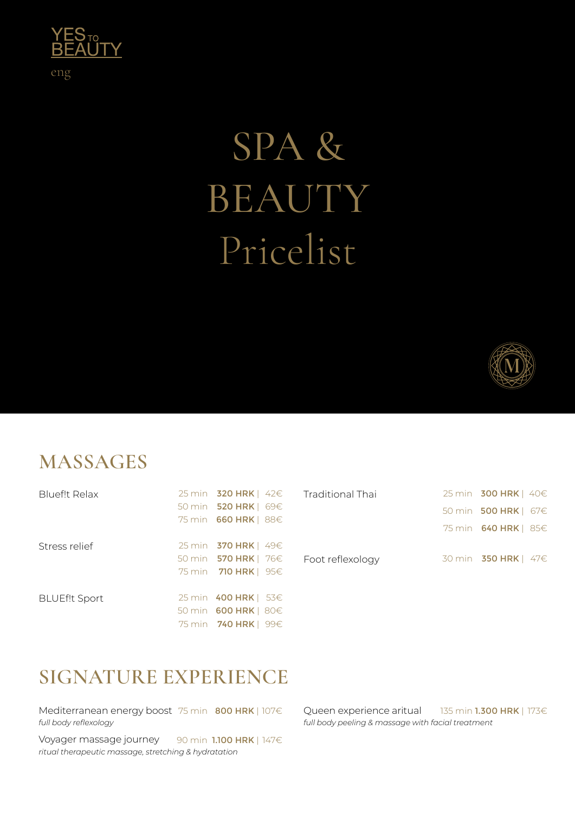

# SPA & BEAUTY Pricelist



300 HRK | 40€ 500 HRK | 67€ 640 HRK | 85€

**350 HRK | 47€** 

#### **MASSAGES**

|     |                                                                                                                                                                                                                                                | $25 \text{ min}$                             |
|-----|------------------------------------------------------------------------------------------------------------------------------------------------------------------------------------------------------------------------------------------------|----------------------------------------------|
|     |                                                                                                                                                                                                                                                | 50 min                                       |
|     |                                                                                                                                                                                                                                                |                                              |
|     |                                                                                                                                                                                                                                                | 75 min                                       |
|     |                                                                                                                                                                                                                                                |                                              |
|     | Foot reflexology                                                                                                                                                                                                                               | 30 min                                       |
|     |                                                                                                                                                                                                                                                |                                              |
|     |                                                                                                                                                                                                                                                |                                              |
|     |                                                                                                                                                                                                                                                |                                              |
|     |                                                                                                                                                                                                                                                |                                              |
| 99€ |                                                                                                                                                                                                                                                |                                              |
|     | 50 min <b>520 HRK</b>   69€<br>75 min <b>660 HRK</b>   88€<br>25 min <b>370 HRK</b>   49€<br>50 min <b>570 HRK</b>   76€<br>75 min <b>710 HRK</b>   95€<br>25 min <b>400 HRK</b>   53€<br>50 min <b>600 HRK</b>   80€<br>75 min <b>740 HRK</b> | 25 min $320$ HRK   $42 \in$ Traditional Thai |

### **SIGNATURE EXPERIENCE**

Mediterranean energy boost 75 min 800 HRK | 107€ *full body reflexology*

Voyager massage journey *ritual therapeutic massage, stretching & hydratation* 90 min 1.100 HRK | 147€

Queen experience aritual *full body peeling & massage with facial treatment* 135 min **1.300 HRK** | 173€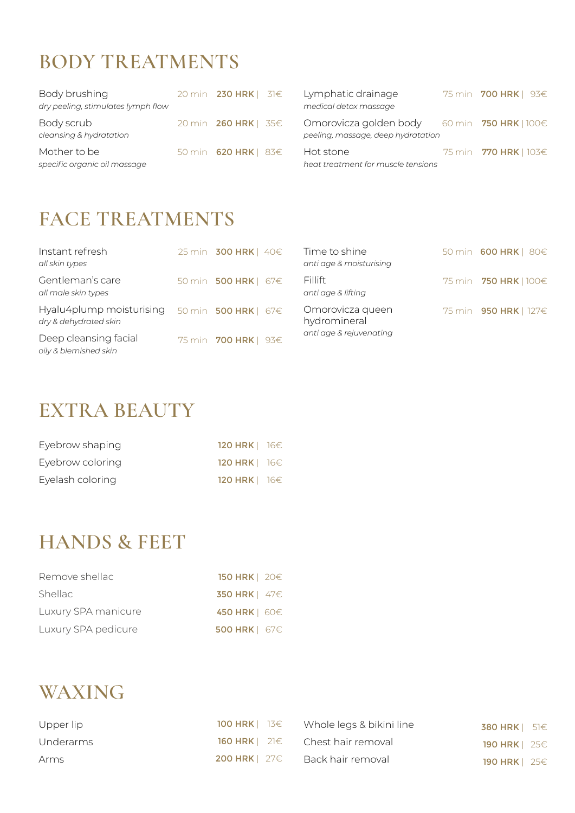## **BODY TREATMENTS**

| Body brushing<br>dry peeling, stimulates lymph flow | 20 min <b>230 HRK</b>   31€ | Lymphatic drainage<br>medical detox massage                                             | 75 min <b>700 HRK</b>   93€  |
|-----------------------------------------------------|-----------------------------|-----------------------------------------------------------------------------------------|------------------------------|
| Body scrub<br>cleansing & hydratation               | 20 min <b>260 HRK</b>   35€ | Omorovicza golden body 60 min 750 HRK   100 $\in$<br>peeling, massage, deep hydratation |                              |
| Mother to be<br>specific organic oil massage        | 50 min <b>620 HRK</b>   83€ | Hot stone<br>heat treatment for muscle tensions                                         | 75 min <b>770 HRK</b>   103€ |

#### **FACE TREATMENTS**

| Instant refresh<br>all skin types                 | 25 min <b>300 HRK</b>   40€ | Time to shine<br>anti age & moisturising | 50 min 600 HRK   80€         |
|---------------------------------------------------|-----------------------------|------------------------------------------|------------------------------|
| Gentleman's care<br>all male skin types           | 50 min <b>500 HRK</b>   67€ | Fillift<br>anti age & lifting            | 75 min <b>750 HRK</b>   100€ |
| Hyalu4plump moisturising<br>dry & dehydrated skin | 50 min 500 HRK   67€        | Omorovicza queen<br>hydromineral         | 75 min 950 HRK   127€        |
| Deep cleansing facial<br>oily & blemished skin    | 75 min 700 HRK   93€        | anti age & rejuvenating                  |                              |

### **EXTRA BEAUTY**

| Eyebrow shaping  | 120 HRK   16€        |  |
|------------------|----------------------|--|
| Eyebrow coloring | 120 HRK $ $ 16 $\in$ |  |
| Eyelash coloring | 120 HRK $ $ 16 $\in$ |  |

#### **HANDS & FEET**

| Remove shellac      | 150 HRK $\mid$ 20 $\in$ |
|---------------------|-------------------------|
| <b>Shellac</b>      | 350 HRK $ $ 47 $\in$    |
| Luxury SPA manicure | 450 HRK   60€           |
| Luxury SPA pedicure | 500 HRK   67€           |

### **WAXING**

| Upper lip | 100 HRK $\vert$ 13 $\in$ | Whole legs & bikini line                                | 380 HRK $\vert$ 51 $\in$ |  |
|-----------|--------------------------|---------------------------------------------------------|--------------------------|--|
| Underarms |                          | <b>160 HRK</b> $\vert$ 21 $\epsilon$ Chest hair removal | 190 HRK $\mid$ 25 $\in$  |  |
| Arms      | 200 HRK $\mid$ 27 $\in$  | - Back hair removal                                     | 190 HRK $\vert$ 25 $\in$ |  |